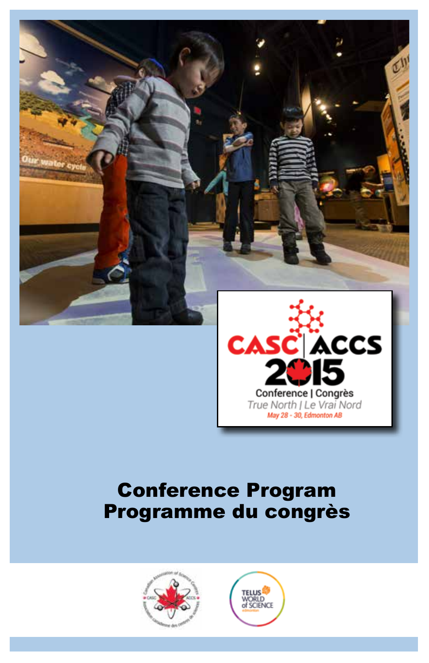

### Conference Program Programme du congrès





Conference | Congrès True North I Le Vrai Nord May 28 - 30, Edmonton AB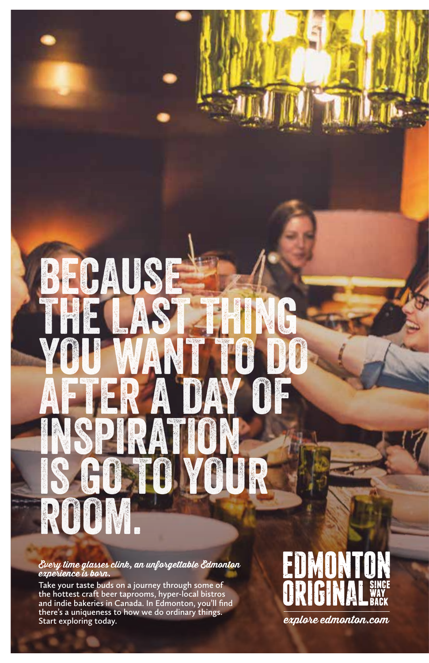# BECAUSE THE LAST THING YOU WANT TO DO AFTER A DAY OF INSPIRATION IS GO TO YOUR ROOM.

**Every time glasses clink, an unforgettable Edmonton experience is born.** 

**Take your taste buds on a journey through some of the hottest craft beer taprooms, hyper-local bistros and indie bakeries in Canada. In Edmonton, you'll find there's a uniqueness to how we do ordinary things. Start exploring today. explore edmonton.com**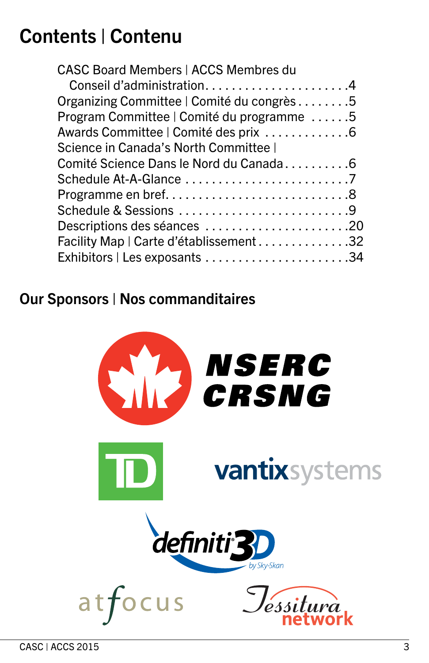### Contents | Contenu

| <b>CASC Board Members   ACCS Membres du</b> |  |
|---------------------------------------------|--|
| Conseil d'administration4                   |  |
| Organizing Committee   Comité du congrès 5  |  |
| Program Committee   Comité du programme 5   |  |
|                                             |  |
| Science in Canada's North Committee         |  |
| Comité Science Dans le Nord du Canada6      |  |
|                                             |  |
|                                             |  |
| Schedule & Sessions 9                       |  |
|                                             |  |
| Facility Map   Carte d'établissement 32     |  |
|                                             |  |
|                                             |  |

### Our Sponsors | Nos commanditaires

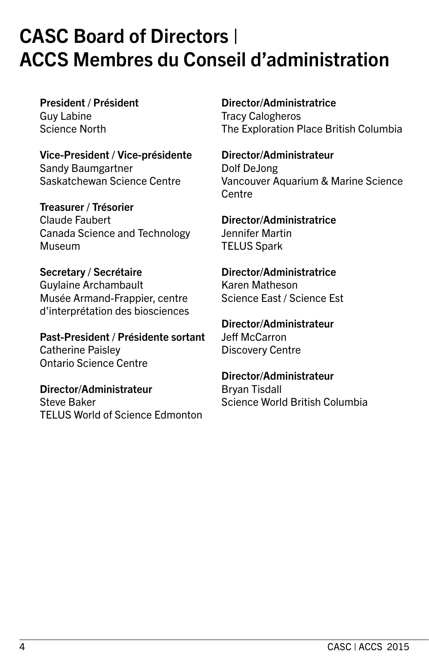### CASC Board of Directors | ACCS Membres du Conseil d'administration

President / Président Guy Labine Science North

Vice-President / Vice-présidente Sandy Baumgartner Saskatchewan Science Centre

Treasurer / Trésorier Claude Faubert Canada Science and Technology Museum

Secretary / Secrétaire Guylaine Archambault Musée Armand-Frappier, centre d'interprétation des biosciences

Past-President / Présidente sortant Catherine Paisley Ontario Science Centre

Director/Administrateur Steve Baker TELUS World of Science Edmonton Director/Administratrice

Tracy Calogheros The Exploration Place British Columbia

Director/Administrateur Dolf DeJong Vancouver Aquarium & Marine Science Centre

Director/Administratrice Jennifer Martin TELUS Spark

Director/Administratrice Karen Matheson Science East / Science Est

Director/Administrateur Jeff McCarron Discovery Centre

Director/Administrateur Bryan Tisdall Science World British Columbia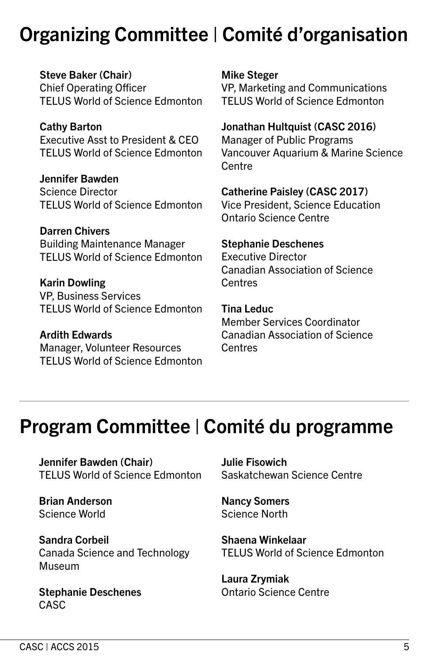### Organizing Committee | Comité d'organisation

Steve Baker (Chair) Chief Operating Officer TELUS World of Science Edmonton

Cathy Barton Executive Asst to President & CEO TELUS World of Science Edmonton

Jennifer Bawden Science Director TELUS World of Science Edmonton

Darren Chivers Building Maintenance Manager TELUS World of Science Edmonton

Karin Dowling VP, Business Services TELUS World of Science Edmonton

Ardith Edwards Manager, Volunteer Resources TELUS World of Science Edmonton Mike Steger

VP, Marketing and Communications TELUS World of Science Edmonton

Jonathan Hultquist (CASC 2016)

Manager of Public Programs Vancouver Aquarium & Marine Science **Centre** 

Catherine Paisley (CASC 2017)

Vice President, Science Education Ontario Science Centre

Stephanie Deschenes

Executive Director Canadian Association of Science **Centres** 

Tina Leduc Member Services Coordinator Canadian Association of Science Centres

### Program Committee | Comité du programme

Jennifer Bawden (Chair) TELUS World of Science Edmonton

Brian Anderson Science World

Sandra Corbeil Canada Science and Technology Museum

Stephanie Deschenes CASC

Julie Fisowich Saskatchewan Science Centre

Nancy Somers Science North

Shaena Winkelaar TELUS World of Science Edmonton

Laura Zrymiak Ontario Science Centre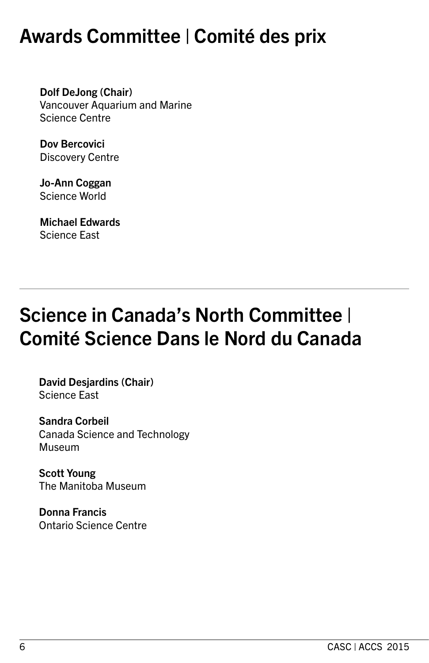### Awards Committee | Comité des prix

Dolf DeJong (Chair) Vancouver Aquarium and Marine Science Centre

Dov Bercovici Discovery Centre

Jo-Ann Coggan Science World

Michael Edwards Science East

### Science in Canada's North Committee | Comité Science Dans le Nord du Canada

David Desjardins (Chair) Science East

Sandra Corbeil Canada Science and Technology **Museum** 

Scott Young The Manitoba Museum

Donna Francis Ontario Science Centre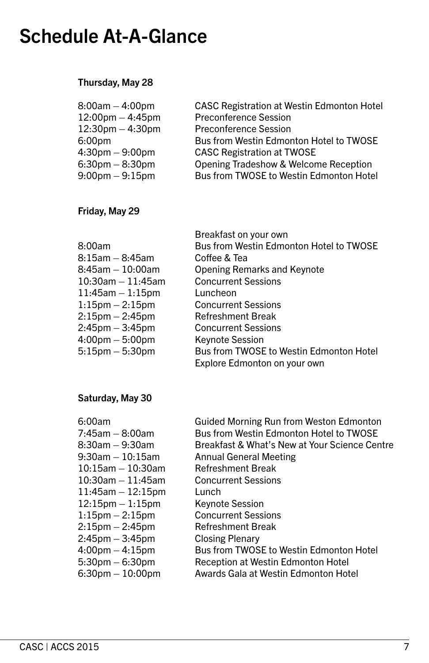### Schedule At-A-Glance

### Thursday, May 28

| $8:00am - 4:00pm$                 | <b>CASC Registration at Westin Edmonton Hotel</b> |
|-----------------------------------|---------------------------------------------------|
| $12:00$ pm $-4:45$ pm             | <b>Preconference Session</b>                      |
| $12:30$ pm $-4:30$ pm             | <b>Preconference Session</b>                      |
| 6:00 <sub>pm</sub>                | Bus from Westin Edmonton Hotel to TWOSE           |
| $4:30 \text{pm} - 9:00 \text{pm}$ | <b>CASC Registration at TWOSE</b>                 |
| $6:30 \text{pm} - 8:30 \text{pm}$ | Opening Tradeshow & Welcome Reception             |
| $9:00 \text{pm} - 9:15 \text{pm}$ | Bus from TWOSE to Westin Edmonton Hotel           |

### Friday, May 29

|                                   | Breakfast on your own                   |
|-----------------------------------|-----------------------------------------|
| 8:00am                            | Bus from Westin Edmonton Hotel to TWOSE |
| 8:15am - 8:45am                   | Coffee & Tea                            |
| 8:45am - 10:00am                  | <b>Opening Remarks and Keynote</b>      |
| $10:30$ am $-11:45$ am            | <b>Concurrent Sessions</b>              |
| $11:45$ am $-1:15$ pm             | Luncheon                                |
| $1:15$ pm $-2:15$ pm              | <b>Concurrent Sessions</b>              |
| $2:15$ pm $- 2:45$ pm             | <b>Refreshment Break</b>                |
| $2:45$ pm $-3:45$ pm              | <b>Concurrent Sessions</b>              |
| $4:00 \text{pm} - 5:00 \text{pm}$ | <b>Keynote Session</b>                  |
| $5:15$ pm $-5:30$ pm              | Bus from TWOSE to Westin Edmonton Hotel |
|                                   | Explore Edmonton on your own            |

### Saturday, May 30

| 6:00am                 | <b>Guided Morning Run from Weston Edmonton</b> |
|------------------------|------------------------------------------------|
| 7:45am – 8:00am        | Bus from Westin Edmonton Hotel to TWOSE        |
| 8:30am – 9:30am        | Breakfast & What's New at Your Science Centre  |
| 9:30am - 10:15am       | <b>Annual General Meeting</b>                  |
| $10:15$ am $-10:30$ am | <b>Refreshment Break</b>                       |
| $10:30$ am $-11:45$ am | <b>Concurrent Sessions</b>                     |
| $11:45$ am $-12:15$ pm | Lunch                                          |
| $12:15$ pm $-1:15$ pm  | <b>Keynote Session</b>                         |
| $1:15$ pm $-2:15$ pm   | <b>Concurrent Sessions</b>                     |
| $2:15$ pm $- 2:45$ pm  | <b>Refreshment Break</b>                       |
| 2:45pm – 3:45pm        | <b>Closing Plenary</b>                         |
| $4:00$ pm $-4:15$ pm   | Bus from TWOSE to Westin Edmonton Hotel        |
| $5:30$ pm $-6:30$ pm   | Reception at Westin Edmonton Hotel             |
| $6:30$ pm $-10:00$ pm  | Awards Gala at Westin Edmonton Hotel           |
|                        |                                                |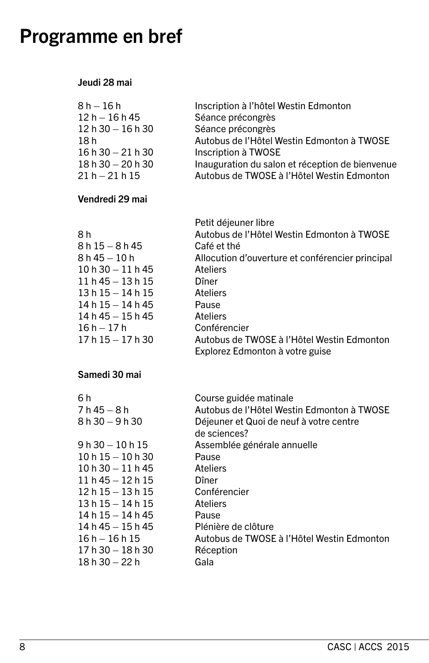### Programme en bref

#### Jeudi 28 mai

| $8 h - 16 h$     | Inscription à l'hôtel Westin Edmonton           |
|------------------|-------------------------------------------------|
| $12 h - 16 h 45$ | Séance précongrès                               |
| $12h30 - 16h30$  | Séance précongrès                               |
| 18 h             | Autobus de l'Hôtel Westin Edmonton à TWOSE      |
| $16h30 - 21h30$  | Inscription à TWOSE                             |
| $18h30 - 20h30$  | Inauguration du salon et réception de bienvenue |
| $21 h - 21 h 15$ | Autobus de TWOSE à l'Hôtel Westin Edmonton      |

### Vendredi 29 mai

|                   | Petit déjeuner libre                             |
|-------------------|--------------------------------------------------|
| 8 h               | Autobus de l'Hôtel Westin Edmonton à TWOSE       |
| 8 h 15 – 8 h 45   | Café et thé                                      |
| 8 h 45 – 10 h     | Allocution d'ouverture et conférencier principal |
| $10h30 - 11h45$   | <b>Ateliers</b>                                  |
| 11 h 45 – 13 h 15 | Dîner                                            |
| 13 h 15 – 14 h 15 | Ateliers                                         |
| 14 h 15 - 14 h 45 | Pause                                            |
| 14 h 45 – 15 h 45 | <b>Ateliers</b>                                  |
| 16 h – 17 h       | Conférencier                                     |
| 17 h 15 - 17 h 30 | Autobus de TWOSE à l'Hôtel Westin Edmonton       |
|                   | Explorez Edmonton à votre guise                  |

### Samedi 30 mai

| 6 h               | Course guidée matinale                     |
|-------------------|--------------------------------------------|
| 7 h 45 – 8 h      | Autobus de l'Hôtel Westin Edmonton à TWOSE |
| 8 h 30 - 9 h 30   | Déjeuner et Quoi de neuf à votre centre    |
|                   | de sciences?                               |
| 9 h 30 – 10 h 15  | Assemblée générale annuelle                |
| $10h15 - 10h30$   | Pause                                      |
| $10h30 - 11h45$   | Ateliers                                   |
| $11h45 - 12h15$   | Dîner                                      |
| $12h15 - 13h15$   | Conférencier                               |
| 13 h 15 – 14 h 15 | Ateliers                                   |
| $14h15 - 14h45$   | Pause                                      |
| $14h45 - 15h45$   | Plénière de clôture                        |
| $16h - 16h$ 15    | Autobus de TWOSE à l'Hôtel Westin Edmonton |
| $17h30 - 18h30$   | Réception                                  |
| 18 h 30 – 22 h    | Gala                                       |
|                   |                                            |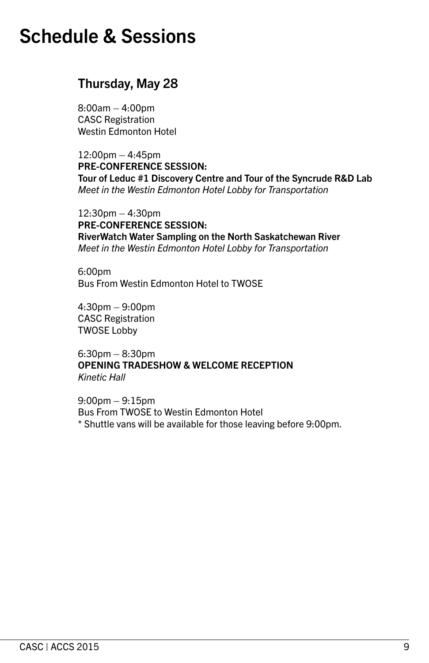### Thursday, May 28

8:00am – 4:00pm CASC Registration Westin Edmonton Hotel

 $12:00$ pm  $-4:45$ pm PRE-CONFERENCE SESSION: Tour of Leduc #1 Discovery Centre and Tour of the Syncrude R&D Lab *Meet in the Westin Edmonton Hotel Lobby for Transportation*

12:30pm – 4:30pm PRE-CONFERENCE SESSION: RiverWatch Water Sampling on the North Saskatchewan River *Meet in the Westin Edmonton Hotel Lobby for Transportation*

6:00pm Bus From Westin Edmonton Hotel to TWOSE

4:30pm – 9:00pm CASC Registration TWOSE Lobby

6:30pm – 8:30pm OPENING TRADESHOW & WELCOME RECEPTION *Kinetic Hall*

9:00pm – 9:15pm Bus From TWOSE to Westin Edmonton Hotel \* Shuttle vans will be available for those leaving before 9:00pm.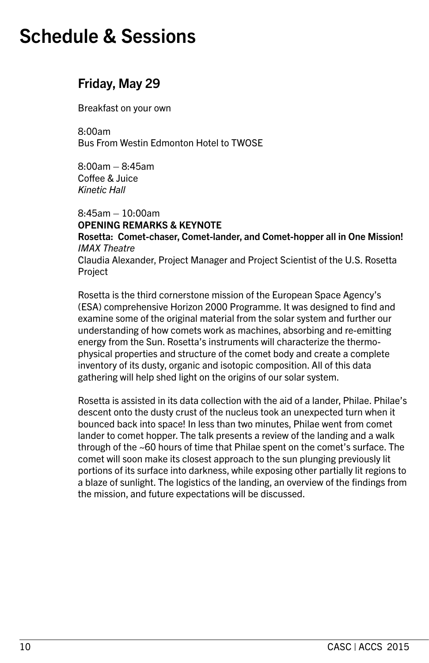### Friday, May 29

Breakfast on your own

8:00am Bus From Westin Edmonton Hotel to TWOSE

8:00am – 8:45am Coffee & Juice *Kinetic Hall*

8:45am – 10:00am

OPENING REMARKS & KEYNOTE

Rosetta: Comet-chaser, Comet-lander, and Comet-hopper all in One Mission! *IMAX Theatre* Claudia Alexander, Project Manager and Project Scientist of the U.S. Rosetta

Project

Rosetta is the third cornerstone mission of the European Space Agency's (ESA) comprehensive Horizon 2000 Programme. It was designed to find and examine some of the original material from the solar system and further our understanding of how comets work as machines, absorbing and re-emitting energy from the Sun. Rosetta's instruments will characterize the thermophysical properties and structure of the comet body and create a complete inventory of its dusty, organic and isotopic composition. All of this data gathering will help shed light on the origins of our solar system.

Rosetta is assisted in its data collection with the aid of a lander, Philae. Philae's descent onto the dusty crust of the nucleus took an unexpected turn when it bounced back into space! In less than two minutes, Philae went from comet lander to comet hopper. The talk presents a review of the landing and a walk through of the ~60 hours of time that Philae spent on the comet's surface. The comet will soon make its closest approach to the sun plunging previously lit portions of its surface into darkness, while exposing other partially lit regions to a blaze of sunlight. The logistics of the landing, an overview of the findings from the mission, and future expectations will be discussed.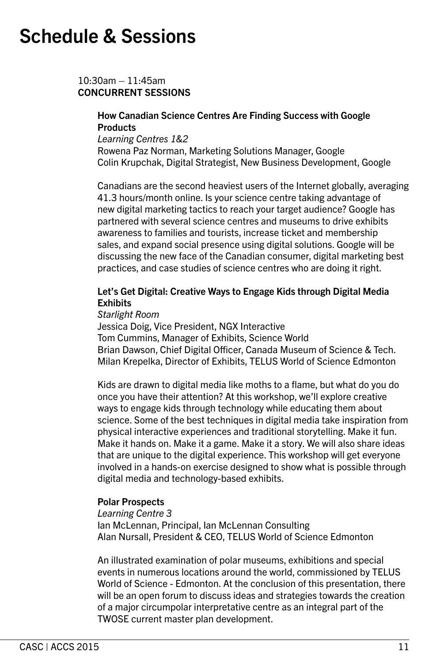10:30am – 11:45am CONCURRENT SESSIONS

#### How Canadian Science Centres Are Finding Success with Google **Products**

*Learning Centres 1&2*  Rowena Paz Norman, Marketing Solutions Manager, Google Colin Krupchak, Digital Strategist, New Business Development, Google

Canadians are the second heaviest users of the Internet globally, averaging 41.3 hours/month online. Is your science centre taking advantage of new digital marketing tactics to reach your target audience? Google has partnered with several science centres and museums to drive exhibits awareness to families and tourists, increase ticket and membership sales, and expand social presence using digital solutions. Google will be discussing the new face of the Canadian consumer, digital marketing best practices, and case studies of science centres who are doing it right.

#### Let's Get Digital: Creative Ways to Engage Kids through Digital Media **Fxhibits**

*Starlight Room* 

Jessica Doig, Vice President, NGX Interactive Tom Cummins, Manager of Exhibits, Science World Brian Dawson, Chief Digital Officer, Canada Museum of Science & Tech. Milan Krepelka, Director of Exhibits, TELUS World of Science Edmonton

Kids are drawn to digital media like moths to a flame, but what do you do once you have their attention? At this workshop, we'll explore creative ways to engage kids through technology while educating them about science. Some of the best techniques in digital media take inspiration from physical interactive experiences and traditional storytelling. Make it fun. Make it hands on. Make it a game. Make it a story. We will also share ideas that are unique to the digital experience. This workshop will get everyone involved in a hands-on exercise designed to show what is possible through digital media and technology-based exhibits.

#### Polar Prospects

*Learning Centre 3* Ian McLennan, Principal, Ian McLennan Consulting Alan Nursall, President & CEO, TELUS World of Science Edmonton

An illustrated examination of polar museums, exhibitions and special events in numerous locations around the world, commissioned by TELUS World of Science - Edmonton. At the conclusion of this presentation, there will be an open forum to discuss ideas and strategies towards the creation of a major circumpolar interpretative centre as an integral part of the TWOSE current master plan development.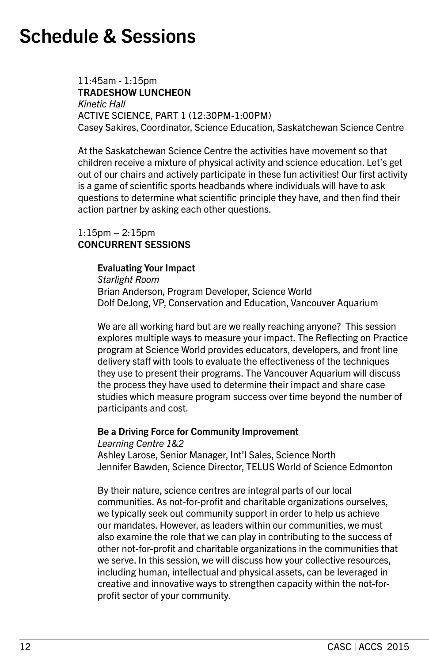11:45am - 1:15pm TRADESHOW LUNCHEON *Kinetic Hall* ACTIVE SCIENCE, PART 1 (12:30PM-1:00PM) Casey Sakires, Coordinator, Science Education, Saskatchewan Science Centre

At the Saskatchewan Science Centre the activities have movement so that children receive a mixture of physical activity and science education. Let's get out of our chairs and actively participate in these fun activities! Our first activity is a game of scientific sports headbands where individuals will have to ask questions to determine what scientific principle they have, and then find their action partner by asking each other questions.

#### 1:15pm – 2:15pm CONCURRENT SESSIONS

#### Evaluating Your Impact

*Starlight Room* Brian Anderson, Program Developer, Science World Dolf DeJong, VP, Conservation and Education, Vancouver Aquarium

We are all working hard but are we really reaching anyone? This session explores multiple ways to measure your impact. The Reflecting on Practice program at Science World provides educators, developers, and front line delivery staff with tools to evaluate the effectiveness of the techniques they use to present their programs. The Vancouver Aquarium will discuss the process they have used to determine their impact and share case studies which measure program success over time beyond the number of participants and cost.

#### Be a Driving Force for Community Improvement

*Learning Centre 1&2* Ashley Larose, Senior Manager, Int'l Sales, Science North Jennifer Bawden, Science Director, TELUS World of Science Edmonton

By their nature, science centres are integral parts of our local communities. As not-for-profit and charitable organizations ourselves, we typically seek out community support in order to help us achieve our mandates. However, as leaders within our communities, we must also examine the role that we can play in contributing to the success of other not-for-profit and charitable organizations in the communities that we serve. In this session, we will discuss how your collective resources, including human, intellectual and physical assets, can be leveraged in creative and innovative ways to strengthen capacity within the not-forprofit sector of your community.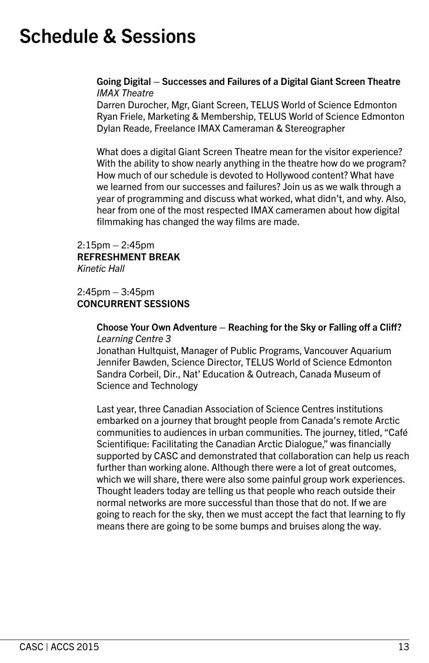#### Going Digital – Successes and Failures of a Digital Giant Screen Theatre *IMAX Theatre*

Darren Durocher, Mgr, Giant Screen, TELUS World of Science Edmonton Ryan Friele, Marketing & Membership, TELUS World of Science Edmonton Dylan Reade, Freelance IMAX Cameraman & Stereographer

What does a digital Giant Screen Theatre mean for the visitor experience? With the ability to show nearly anything in the theatre how do we program? How much of our schedule is devoted to Hollywood content? What have we learned from our successes and failures? Join us as we walk through a year of programming and discuss what worked, what didn't, and why. Also, hear from one of the most respected IMAX cameramen about how digital filmmaking has changed the way films are made.

2:15pm – 2:45pm REFRESHMENT BREAK *Kinetic Hall*

#### 2:45pm – 3:45pm CONCURRENT SESSIONS

#### Choose Your Own Adventure – Reaching for the Sky or Falling off a Cliff? *Learning Centre 3*

Jonathan Hultquist, Manager of Public Programs, Vancouver Aquarium Jennifer Bawden, Science Director, TELUS World of Science Edmonton Sandra Corbeil, Dir., Nat' Education & Outreach, Canada Museum of Science and Technology

Last year, three Canadian Association of Science Centres institutions embarked on a journey that brought people from Canada's remote Arctic communities to audiences in urban communities. The journey, titled, "Café Scientifique: Facilitating the Canadian Arctic Dialogue," was financially supported by CASC and demonstrated that collaboration can help us reach further than working alone. Although there were a lot of great outcomes, which we will share, there were also some painful group work experiences. Thought leaders today are telling us that people who reach outside their normal networks are more successful than those that do not. If we are going to reach for the sky, then we must accept the fact that learning to fly means there are going to be some bumps and bruises along the way.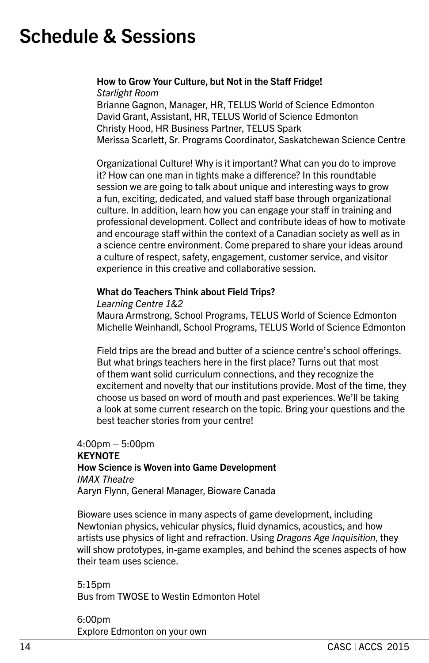### How to Grow Your Culture, but Not in the Staff Fridge!

*Starlight Room*

Brianne Gagnon, Manager, HR, TELUS World of Science Edmonton David Grant, Assistant, HR, TELUS World of Science Edmonton Christy Hood, HR Business Partner, TELUS Spark Merissa Scarlett, Sr. Programs Coordinator, Saskatchewan Science Centre

Organizational Culture! Why is it important? What can you do to improve it? How can one man in tights make a difference? In this roundtable session we are going to talk about unique and interesting ways to grow a fun, exciting, dedicated, and valued staff base through organizational culture. In addition, learn how you can engage your staff in training and professional development. Collect and contribute ideas of how to motivate and encourage staff within the context of a Canadian society as well as in a science centre environment. Come prepared to share your ideas around a culture of respect, safety, engagement, customer service, and visitor experience in this creative and collaborative session.

### What do Teachers Think about Field Trips?

#### *Learning Centre 1&2*

Maura Armstrong, School Programs, TELUS World of Science Edmonton Michelle Weinhandl, School Programs, TELUS World of Science Edmonton

Field trips are the bread and butter of a science centre's school offerings. But what brings teachers here in the first place? Turns out that most of them want solid curriculum connections, and they recognize the excitement and novelty that our institutions provide. Most of the time, they choose us based on word of mouth and past experiences. We'll be taking a look at some current research on the topic. Bring your questions and the best teacher stories from your centre!

#### 4:00pm – 5:00pm **KFYNOTF** How Science is Woven into Game Development *IMAX Theatre* Aaryn Flynn, General Manager, Bioware Canada

Bioware uses science in many aspects of game development, including Newtonian physics, vehicular physics, fluid dynamics, acoustics, and how artists use physics of light and refraction. Using *Dragons Age Inquisition*, they will show prototypes, in-game examples, and behind the scenes aspects of how their team uses science.

5:15pm Bus from TWOSE to Westin Edmonton Hotel

6:00pm Explore Edmonton on your own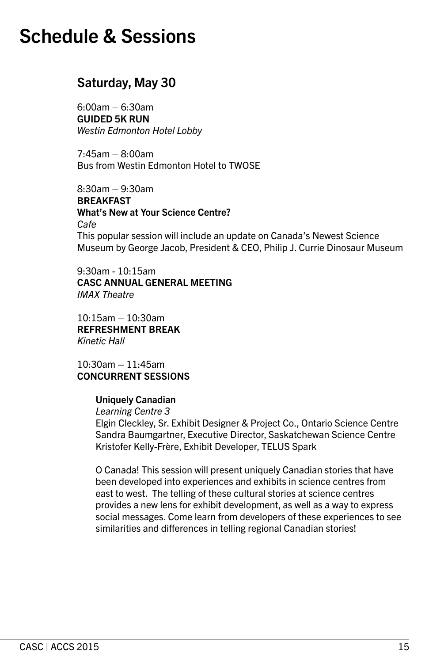### Saturday, May 30

6:00am – 6:30am GUIDED 5K RUN *Westin Edmonton Hotel Lobby*

7:45am – 8:00am Bus from Westin Edmonton Hotel to TWOSE

8:30am – 9:30am BREAKFAST What's New at Your Science Centre? *Cafe* This popular session will include an update on Canada's Newest Science Museum by George Jacob, President & CEO, Philip J. Currie Dinosaur Museum

9:30am - 10:15am CASC ANNUAL GENERAL MEETING *IMAX Theatre*

10:15am – 10:30am REFRESHMENT BREAK *Kinetic Hall*

10:30am – 11:45am CONCURRENT SESSIONS

#### Uniquely Canadian

*Learning Centre 3*

Elgin Cleckley, Sr. Exhibit Designer & Project Co., Ontario Science Centre Sandra Baumgartner, Executive Director, Saskatchewan Science Centre Kristofer Kelly-Frère, Exhibit Developer, TELUS Spark

O Canada! This session will present uniquely Canadian stories that have been developed into experiences and exhibits in science centres from east to west. The telling of these cultural stories at science centres provides a new lens for exhibit development, as well as a way to express social messages. Come learn from developers of these experiences to see similarities and differences in telling regional Canadian stories!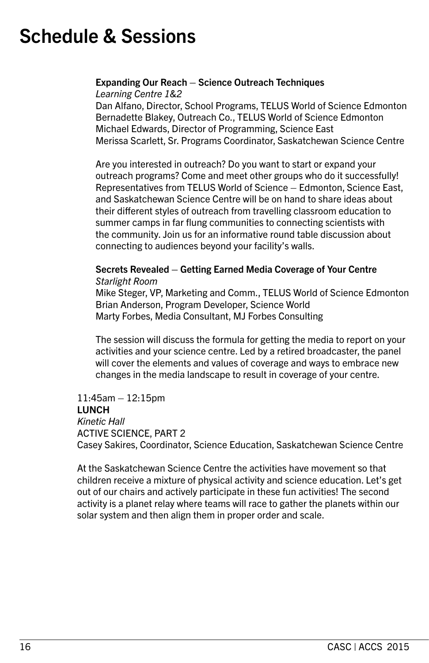### Expanding Our Reach – Science Outreach Techniques

*Learning Centre 1&2*

Dan Alfano, Director, School Programs, TELUS World of Science Edmonton Bernadette Blakey, Outreach Co., TELUS World of Science Edmonton Michael Edwards, Director of Programming, Science East Merissa Scarlett, Sr. Programs Coordinator, Saskatchewan Science Centre

Are you interested in outreach? Do you want to start or expand your outreach programs? Come and meet other groups who do it successfully! Representatives from TELUS World of Science – Edmonton, Science East, and Saskatchewan Science Centre will be on hand to share ideas about their different styles of outreach from travelling classroom education to summer camps in far flung communities to connecting scientists with the community. Join us for an informative round table discussion about connecting to audiences beyond your facility's walls.

#### Secrets Revealed – Getting Earned Media Coverage of Your Centre *Starlight Room*

Mike Steger, VP, Marketing and Comm., TELUS World of Science Edmonton Brian Anderson, Program Developer, Science World Marty Forbes, Media Consultant, MJ Forbes Consulting

The session will discuss the formula for getting the media to report on your activities and your science centre. Led by a retired broadcaster, the panel will cover the elements and values of coverage and ways to embrace new changes in the media landscape to result in coverage of your centre.

### 11:45am – 12:15pm LUNCH *Kinetic Hall*  ACTIVE SCIENCE, PART 2

Casey Sakires, Coordinator, Science Education, Saskatchewan Science Centre

At the Saskatchewan Science Centre the activities have movement so that children receive a mixture of physical activity and science education. Let's get out of our chairs and actively participate in these fun activities! The second activity is a planet relay where teams will race to gather the planets within our solar system and then align them in proper order and scale.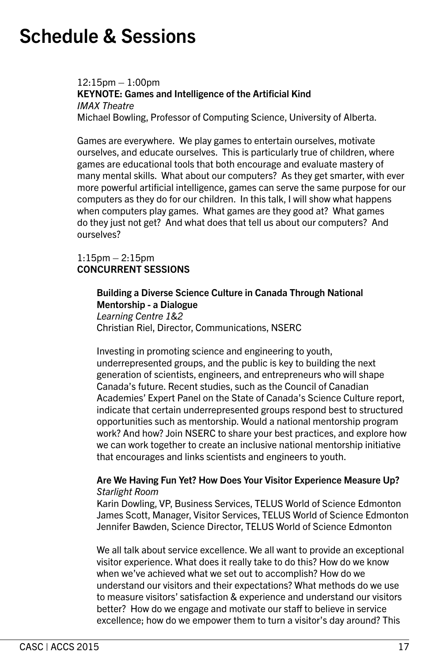12:15pm – 1:00pm KEYNOTE: Games and Intelligence of the Artificial Kind *IMAX Theatre*  Michael Bowling, Professor of Computing Science, University of Alberta.

Games are everywhere. We play games to entertain ourselves, motivate ourselves, and educate ourselves. This is particularly true of children, where games are educational tools that both encourage and evaluate mastery of many mental skills. What about our computers? As they get smarter, with ever more powerful artificial intelligence, games can serve the same purpose for our computers as they do for our children. In this talk, I will show what happens when computers play games. What games are they good at? What games do they just not get? And what does that tell us about our computers? And ourselves?

#### 1:15pm – 2:15pm CONCURRENT SESSIONS

Building a Diverse Science Culture in Canada Through National Mentorship - a Dialogue *Learning Centre 1&2* Christian Riel, Director, Communications, NSERC

Investing in promoting science and engineering to youth, underrepresented groups, and the public is key to building the next generation of scientists, engineers, and entrepreneurs who will shape Canada's future. Recent studies, such as the Council of Canadian Academies' Expert Panel on the State of Canada's Science Culture report, indicate that certain underrepresented groups respond best to structured opportunities such as mentorship. Would a national mentorship program work? And how? Join NSERC to share your best practices, and explore how we can work together to create an inclusive national mentorship initiative that encourages and links scientists and engineers to youth.

#### Are We Having Fun Yet? How Does Your Visitor Experience Measure Up? *Starlight Room*

Karin Dowling, VP, Business Services, TELUS World of Science Edmonton James Scott, Manager, Visitor Services, TELUS World of Science Edmonton Jennifer Bawden, Science Director, TELUS World of Science Edmonton

We all talk about service excellence. We all want to provide an exceptional visitor experience. What does it really take to do this? How do we know when we've achieved what we set out to accomplish? How do we understand our visitors and their expectations? What methods do we use to measure visitors' satisfaction & experience and understand our visitors better? How do we engage and motivate our staff to believe in service excellence; how do we empower them to turn a visitor's day around? This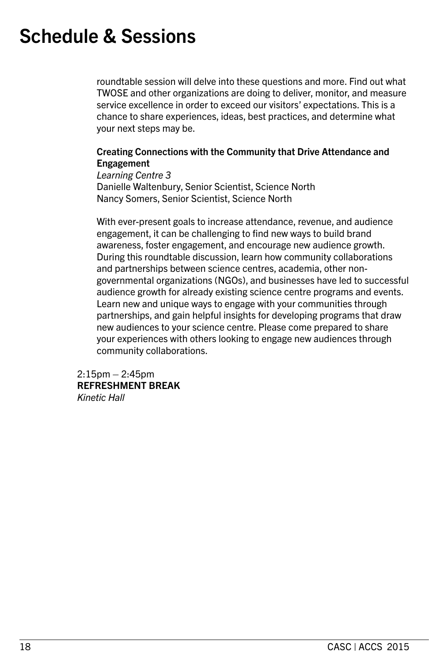roundtable session will delve into these questions and more. Find out what TWOSE and other organizations are doing to deliver, monitor, and measure service excellence in order to exceed our visitors' expectations. This is a chance to share experiences, ideas, best practices, and determine what your next steps may be.

#### Creating Connections with the Community that Drive Attendance and Engagement

*Learning Centre 3* Danielle Waltenbury, Senior Scientist, Science North Nancy Somers, Senior Scientist, Science North

With ever-present goals to increase attendance, revenue, and audience engagement, it can be challenging to find new ways to build brand awareness, foster engagement, and encourage new audience growth. During this roundtable discussion, learn how community collaborations and partnerships between science centres, academia, other nongovernmental organizations (NGOs), and businesses have led to successful audience growth for already existing science centre programs and events. Learn new and unique ways to engage with your communities through partnerships, and gain helpful insights for developing programs that draw new audiences to your science centre. Please come prepared to share your experiences with others looking to engage new audiences through community collaborations.

2:15pm – 2:45pm REFRESHMENT BREAK *Kinetic Hall*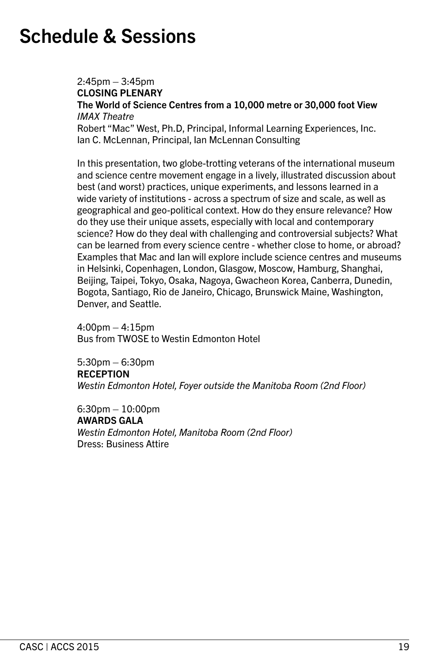2:45pm – 3:45pm CLOSING PLENARY The World of Science Centres from a 10,000 metre or 30,000 foot View *IMAX Theatre* Robert "Mac" West, Ph.D, Principal, Informal Learning Experiences, Inc. Ian C. McLennan, Principal, Ian McLennan Consulting

In this presentation, two globe-trotting veterans of the international museum and science centre movement engage in a lively, illustrated discussion about best (and worst) practices, unique experiments, and lessons learned in a wide variety of institutions - across a spectrum of size and scale, as well as geographical and geo-political context. How do they ensure relevance? How do they use their unique assets, especially with local and contemporary science? How do they deal with challenging and controversial subjects? What can be learned from every science centre - whether close to home, or abroad? Examples that Mac and Ian will explore include science centres and museums in Helsinki, Copenhagen, London, Glasgow, Moscow, Hamburg, Shanghai, Beijing, Taipei, Tokyo, Osaka, Nagoya, Gwacheon Korea, Canberra, Dunedin, Bogota, Santiago, Rio de Janeiro, Chicago, Brunswick Maine, Washington, Denver, and Seattle.

4:00pm – 4:15pm Bus from TWOSE to Westin Edmonton Hotel

5:30pm – 6:30pm **RECEPTION** *Westin Edmonton Hotel, Foyer outside the Manitoba Room (2nd Floor)*

6:30pm – 10:00pm AWARDS GALA *Westin Edmonton Hotel, Manitoba Room (2nd Floor)* Dress: Business Attire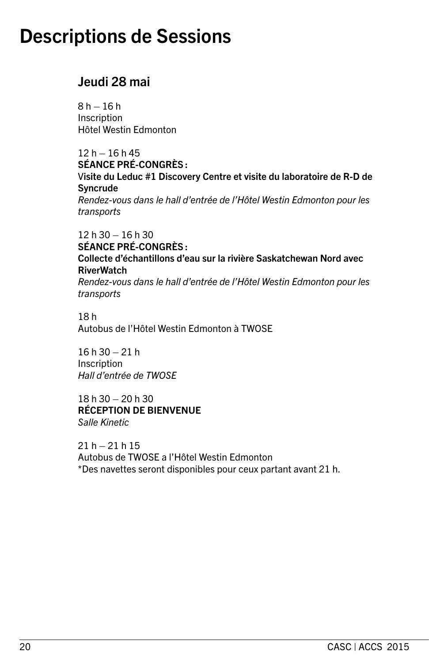### Jeudi 28 mai

 $8 h - 16 h$ Inscription Hôtel Westin Edmonton

 $12 h - 16 h 45$ SÉANCE PRÉ-CONGRÈS : Visite du Leduc #1 Discovery Centre et visite du laboratoire de R-D de Syncrude *Rendez-vous dans le hall d'entrée de l'Hôtel Westin Edmonton pour les transports*

12 h 30 – 16 h 30 SÉANCE PRÉ-CONGRÈS : Collecte d'échantillons d'eau sur la rivière Saskatchewan Nord avec RiverWatch *Rendez-vous dans le hall d'entrée de l'Hôtel Westin Edmonton pour les transports*

18 h Autobus de l'Hôtel Westin Edmonton à TWOSE

16 h 30 – 21 h **Inscription** *Hall d'entrée de TWOSE*

18 h 30 – 20 h 30 RÉCEPTION DE BIENVENUE *Salle Kinetic*

 $21 h - 21 h 15$ Autobus de TWOSE a l'Hôtel Westin Edmonton \*Des navettes seront disponibles pour ceux partant avant 21 h.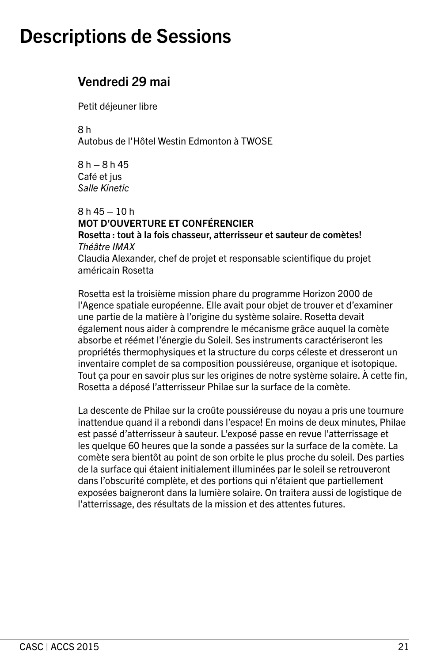### Vendredi 29 mai

Petit déjeuner libre

8 h Autobus de l'Hôtel Westin Edmonton à TWOSE

 $8 h - 8 h 45$ Café et jus *Salle Kinetic*

 $8 h 45 - 10 h$ MOT D'OUVERTURE ET CONFÉRENCIER Rosetta : tout à la fois chasseur, atterrisseur et sauteur de comètes! *Théâtre IMAX* Claudia Alexander, chef de projet et responsable scientifique du projet américain Rosetta

Rosetta est la troisième mission phare du programme Horizon 2000 de l'Agence spatiale européenne. Elle avait pour objet de trouver et d'examiner une partie de la matière à l'origine du système solaire. Rosetta devait également nous aider à comprendre le mécanisme grâce auquel la comète absorbe et réémet l'énergie du Soleil. Ses instruments caractériseront les propriétés thermophysiques et la structure du corps céleste et dresseront un inventaire complet de sa composition poussiéreuse, organique et isotopique. Tout ça pour en savoir plus sur les origines de notre système solaire. À cette fin, Rosetta a déposé l'atterrisseur Philae sur la surface de la comète.

La descente de Philae sur la croûte poussiéreuse du noyau a pris une tournure inattendue quand il a rebondi dans l'espace! En moins de deux minutes, Philae est passé d'atterrisseur à sauteur. L'exposé passe en revue l'atterrissage et les quelque 60 heures que la sonde a passées sur la surface de la comète. La comète sera bientôt au point de son orbite le plus proche du soleil. Des parties de la surface qui étaient initialement illuminées par le soleil se retrouveront dans l'obscurité complète, et des portions qui n'étaient que partiellement exposées baigneront dans la lumière solaire. On traitera aussi de logistique de l'atterrissage, des résultats de la mission et des attentes futures.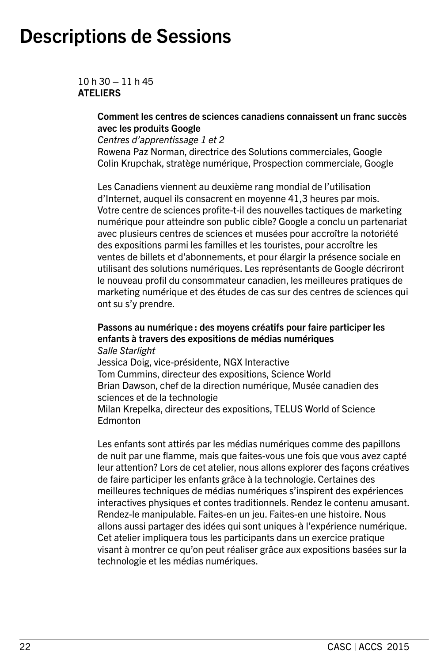$10h30 - 11h45$ ATELIERS

#### Comment les centres de sciences canadiens connaissent un franc succès avec les produits Google

*Centres d'apprentissage 1 et 2*

Rowena Paz Norman, directrice des Solutions commerciales, Google Colin Krupchak, stratège numérique, Prospection commerciale, Google

Les Canadiens viennent au deuxième rang mondial de l'utilisation d'Internet, auquel ils consacrent en moyenne 41,3 heures par mois. Votre centre de sciences profite-t-il des nouvelles tactiques de marketing numérique pour atteindre son public cible? Google a conclu un partenariat avec plusieurs centres de sciences et musées pour accroître la notoriété des expositions parmi les familles et les touristes, pour accroître les ventes de billets et d'abonnements, et pour élargir la présence sociale en utilisant des solutions numériques. Les représentants de Google décriront le nouveau profil du consommateur canadien, les meilleures pratiques de marketing numérique et des études de cas sur des centres de sciences qui ont su s'y prendre.

### Passons au numérique : des moyens créatifs pour faire participer les enfants à travers des expositions de médias numériques

*Salle Starlight*

Jessica Doig, vice-présidente, NGX Interactive Tom Cummins, directeur des expositions, Science World Brian Dawson, chef de la direction numérique, Musée canadien des sciences et de la technologie Milan Krepelka, directeur des expositions, TELUS World of Science **Edmonton** 

Les enfants sont attirés par les médias numériques comme des papillons de nuit par une flamme, mais que faites-vous une fois que vous avez capté leur attention? Lors de cet atelier, nous allons explorer des façons créatives de faire participer les enfants grâce à la technologie. Certaines des meilleures techniques de médias numériques s'inspirent des expériences interactives physiques et contes traditionnels. Rendez le contenu amusant. Rendez-le manipulable. Faites-en un jeu. Faites-en une histoire. Nous allons aussi partager des idées qui sont uniques à l'expérience numérique. Cet atelier impliquera tous les participants dans un exercice pratique visant à montrer ce qu'on peut réaliser grâce aux expositions basées sur la technologie et les médias numériques.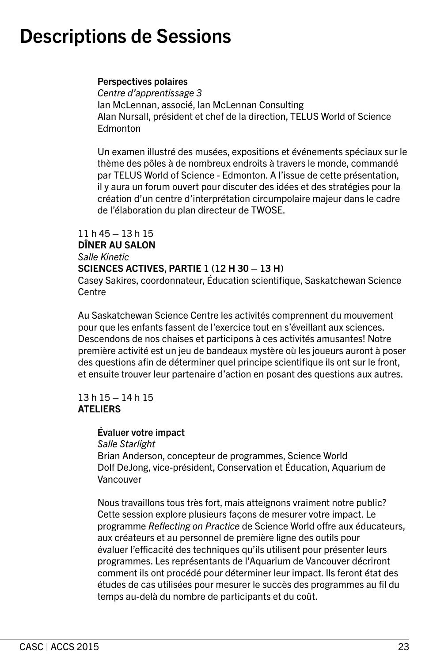#### Perspectives polaires

*Centre d'apprentissage 3* Ian McLennan, associé, Ian McLennan Consulting Alan Nursall, président et chef de la direction, TELUS World of Science **Edmonton** 

Un examen illustré des musées, expositions et événements spéciaux sur le thème des pôles à de nombreux endroits à travers le monde, commandé par TELUS World of Science - Edmonton. A l'issue de cette présentation, il y aura un forum ouvert pour discuter des idées et des stratégies pour la création d'un centre d'interprétation circumpolaire majeur dans le cadre de l'élaboration du plan directeur de TWOSE.

### 11 h 45 – 13 h 15

#### DÎNER AU SALON *Salle Kinetic*

### SCIENCES ACTIVES, PARTIE 1 (12 H 30 – 13 H)

Casey Sakires, coordonnateur, Éducation scientifique, Saskatchewan Science Centre

Au Saskatchewan Science Centre les activités comprennent du mouvement pour que les enfants fassent de l'exercice tout en s'éveillant aux sciences. Descendons de nos chaises et participons à ces activités amusantes! Notre première activité est un jeu de bandeaux mystère où les joueurs auront à poser des questions afin de déterminer quel principe scientifique ils ont sur le front, et ensuite trouver leur partenaire d'action en posant des questions aux autres.

#### 13 h 15 – 14 h 15 **ATELIERS**

#### Évaluer votre impact

*Salle Starlight*

Brian Anderson, concepteur de programmes, Science World Dolf DeJong, vice-président, Conservation et Éducation, Aquarium de Vancouver

Nous travaillons tous très fort, mais atteignons vraiment notre public? Cette session explore plusieurs façons de mesurer votre impact. Le programme *Reflecting on Practice* de Science World offre aux éducateurs, aux créateurs et au personnel de première ligne des outils pour évaluer l'efficacité des techniques qu'ils utilisent pour présenter leurs programmes. Les représentants de l'Aquarium de Vancouver décriront comment ils ont procédé pour déterminer leur impact. Ils feront état des études de cas utilisées pour mesurer le succès des programmes au fil du temps au-delà du nombre de participants et du coût.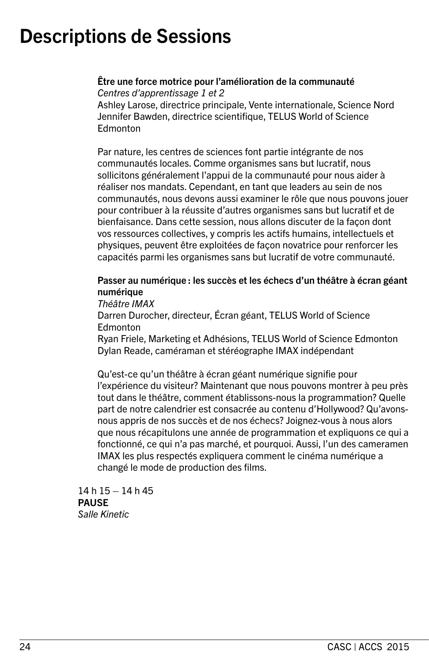Être une force motrice pour l'amélioration de la communauté *Centres d'apprentissage 1 et 2* Ashley Larose, directrice principale, Vente internationale, Science Nord Jennifer Bawden, directrice scientifique, TELUS World of Science **Edmonton** 

Par nature, les centres de sciences font partie intégrante de nos communautés locales. Comme organismes sans but lucratif, nous sollicitons généralement l'appui de la communauté pour nous aider à réaliser nos mandats. Cependant, en tant que leaders au sein de nos communautés, nous devons aussi examiner le rôle que nous pouvons jouer pour contribuer à la réussite d'autres organismes sans but lucratif et de bienfaisance. Dans cette session, nous allons discuter de la façon dont vos ressources collectives, y compris les actifs humains, intellectuels et physiques, peuvent être exploitées de façon novatrice pour renforcer les capacités parmi les organismes sans but lucratif de votre communauté.

### Passer au numérique : les succès et les échecs d'un théâtre à écran géant numérique

*Théâtre IMAX*

Darren Durocher, directeur, Écran géant, TELUS World of Science **Edmonton** 

Ryan Friele, Marketing et Adhésions, TELUS World of Science Edmonton Dylan Reade, caméraman et stéréographe IMAX indépendant

Qu'est-ce qu'un théâtre à écran géant numérique signifie pour l'expérience du visiteur? Maintenant que nous pouvons montrer à peu près tout dans le théâtre, comment établissons-nous la programmation? Quelle part de notre calendrier est consacrée au contenu d'Hollywood? Qu'avonsnous appris de nos succès et de nos échecs? Joignez-vous à nous alors que nous récapitulons une année de programmation et expliquons ce qui a fonctionné, ce qui n'a pas marché, et pourquoi. Aussi, l'un des cameramen IMAX les plus respectés expliquera comment le cinéma numérique a changé le mode de production des films.

14 h 15 – 14 h 45 **PAUSE** *Salle Kinetic*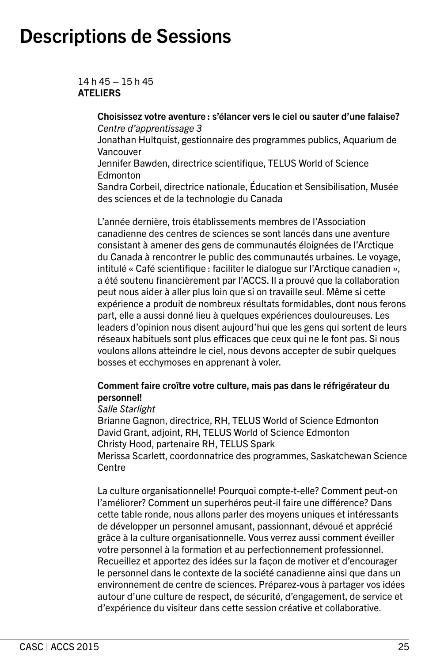14 h 45 – 15 h 45 **ATELIERS** 

> Choisissez votre aventure : s'élancer vers le ciel ou sauter d'une falaise? *Centre d'apprentissage 3*

> Jonathan Hultquist, gestionnaire des programmes publics, Aquarium de Vancouver

Jennifer Bawden, directrice scientifique, TELUS World of Science **Edmonton** 

Sandra Corbeil, directrice nationale, Éducation et Sensibilisation, Musée des sciences et de la technologie du Canada

L'année dernière, trois établissements membres de l'Association canadienne des centres de sciences se sont lancés dans une aventure consistant à amener des gens de communautés éloignées de l'Arctique du Canada à rencontrer le public des communautés urbaines. Le voyage, intitulé « Café scientifique : faciliter le dialogue sur l'Arctique canadien », a été soutenu financièrement par l'ACCS. Il a prouvé que la collaboration peut nous aider à aller plus loin que si on travaille seul. Même si cette expérience a produit de nombreux résultats formidables, dont nous ferons part, elle a aussi donné lieu à quelques expériences douloureuses. Les leaders d'opinion nous disent aujourd'hui que les gens qui sortent de leurs réseaux habituels sont plus efficaces que ceux qui ne le font pas. Si nous voulons allons atteindre le ciel, nous devons accepter de subir quelques bosses et ecchymoses en apprenant à voler.

#### Comment faire croître votre culture, mais pas dans le réfrigérateur du personnel!

#### *Salle Starlight*

Brianne Gagnon, directrice, RH, TELUS World of Science Edmonton David Grant, adjoint, RH, TELUS World of Science Edmonton Christy Hood, partenaire RH, TELUS Spark Merissa Scarlett, coordonnatrice des programmes, Saskatchewan Science

**Centre** 

La culture organisationnelle! Pourquoi compte-t-elle? Comment peut-on l'améliorer? Comment un superhéros peut-il faire une différence? Dans cette table ronde, nous allons parler des moyens uniques et intéressants de développer un personnel amusant, passionnant, dévoué et apprécié grâce à la culture organisationnelle. Vous verrez aussi comment éveiller votre personnel à la formation et au perfectionnement professionnel. Recueillez et apportez des idées sur la façon de motiver et d'encourager le personnel dans le contexte de la société canadienne ainsi que dans un environnement de centre de sciences. Préparez-vous à partager vos idées autour d'une culture de respect, de sécurité, d'engagement, de service et d'expérience du visiteur dans cette session créative et collaborative.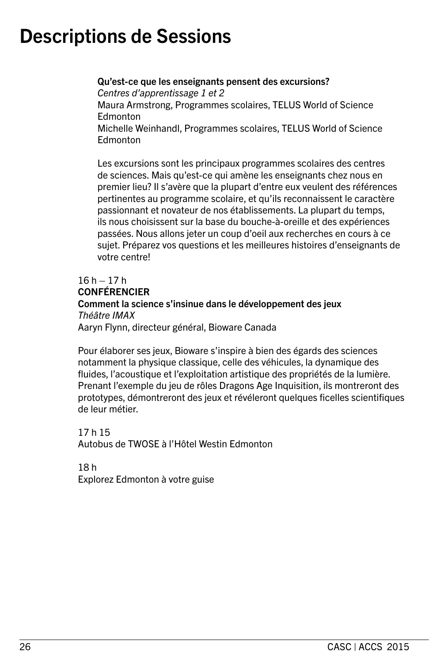Qu'est-ce que les enseignants pensent des excursions? *Centres d'apprentissage 1 et 2* Maura Armstrong, Programmes scolaires, TELUS World of Science **Edmonton** Michelle Weinhandl, Programmes scolaires, TELUS World of Science **Edmonton** 

Les excursions sont les principaux programmes scolaires des centres de sciences. Mais qu'est-ce qui amène les enseignants chez nous en premier lieu? Il s'avère que la plupart d'entre eux veulent des références pertinentes au programme scolaire, et qu'ils reconnaissent le caractère passionnant et novateur de nos établissements. La plupart du temps, ils nous choisissent sur la base du bouche-à-oreille et des expériences passées. Nous allons jeter un coup d'oeil aux recherches en cours à ce sujet. Préparez vos questions et les meilleures histoires d'enseignants de votre centre!

#### $16 h - 17 h$ CONFÉRENCIER Comment la science s'insinue dans le développement des jeux *Théâtre IMAX* Aaryn Flynn, directeur général, Bioware Canada

Pour élaborer ses jeux, Bioware s'inspire à bien des égards des sciences notamment la physique classique, celle des véhicules, la dynamique des fluides, l'acoustique et l'exploitation artistique des propriétés de la lumière. Prenant l'exemple du jeu de rôles Dragons Age Inquisition, ils montreront des prototypes, démontreront des jeux et révéleront quelques ficelles scientifiques de leur métier.

17 h 15 Autobus de TWOSE à l'Hôtel Westin Edmonton

18 h Explorez Edmonton à votre guise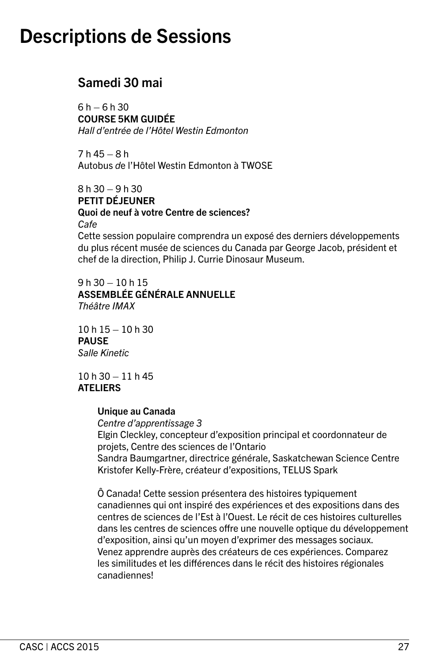### Samedi 30 mai

 $6 h - 6 h 30$ COURSE 5KM GUIDÉE *Hall d'entrée de l'Hôtel Westin Edmonton* 

7 h 45 – 8 h Autobus *d*e l'Hôtel Westin Edmonton à TWOSE

 $8 h 30 - 9 h 30$ PETIT DÉJEUNER Quoi de neuf à votre Centre de sciences? *Cafe* Cette session populaire comprendra un exposé des derniers développements du plus récent musée de sciences du Canada par George Jacob, président et chef de la direction, Philip J. Currie Dinosaur Museum.

9 h 30 – 10 h 15 ASSEMBLÉE GÉNÉRALE ANNUELLE *Théâtre IMAX*

 $10 h 15 - 10 h 30$ PAUSE *Salle Kinetic*

10 h 30 – 11 h 45 **ATELIERS** 

#### Unique au Canada

*Centre d'apprentissage 3* Elgin Cleckley, concepteur d'exposition principal et coordonnateur de projets, Centre des sciences de l'Ontario Sandra Baumgartner, directrice générale, Saskatchewan Science Centre Kristofer Kelly-Frère, créateur d'expositions, TELUS Spark

Ô Canada! Cette session présentera des histoires typiquement canadiennes qui ont inspiré des expériences et des expositions dans des centres de sciences de l'Est à l'Ouest. Le récit de ces histoires culturelles dans les centres de sciences offre une nouvelle optique du développement d'exposition, ainsi qu'un moyen d'exprimer des messages sociaux. Venez apprendre auprès des créateurs de ces expériences. Comparez les similitudes et les différences dans le récit des histoires régionales canadiennes!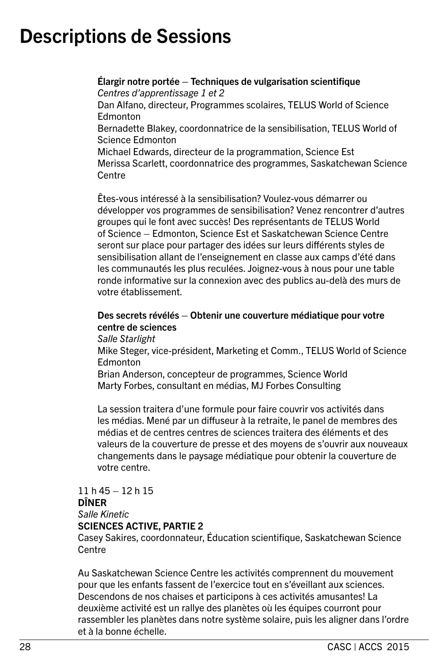Élargir notre portée – Techniques de vulgarisation scientifique *Centres d'apprentissage 1 et 2*

Dan Alfano, directeur, Programmes scolaires, TELUS World of Science **Edmonton** 

Bernadette Blakey, coordonnatrice de la sensibilisation, TELUS World of Science Edmonton

Michael Edwards, directeur de la programmation, Science Est Merissa Scarlett, coordonnatrice des programmes, Saskatchewan Science Centre

Êtes-vous intéressé à la sensibilisation? Voulez-vous démarrer ou développer vos programmes de sensibilisation? Venez rencontrer d'autres groupes qui le font avec succès! Des représentants de TELUS World of Science – Edmonton, Science Est et Saskatchewan Science Centre seront sur place pour partager des idées sur leurs différents styles de sensibilisation allant de l'enseignement en classe aux camps d'été dans les communautés les plus reculées. Joignez-vous à nous pour une table ronde informative sur la connexion avec des publics au-delà des murs de votre établissement.

### Des secrets révélés – Obtenir une couverture médiatique pour votre centre de sciences

*Salle Starlight*

Mike Steger, vice-président, Marketing et Comm., TELUS World of Science **Edmonton** 

Brian Anderson, concepteur de programmes, Science World Marty Forbes, consultant en médias, MJ Forbes Consulting

La session traitera d'une formule pour faire couvrir vos activités dans les médias. Mené par un diffuseur à la retraite, le panel de membres des médias et de centres centres de sciences traitera des éléments et des valeurs de la couverture de presse et des moyens de s'ouvrir aux nouveaux changements dans le paysage médiatique pour obtenir la couverture de votre centre.

#### 11 h 45 – 12 h 15 DÎNER *Salle Kinetic* SCIENCES ACTIVE, PARTIE 2

Casey Sakires, coordonnateur, Éducation scientifique, Saskatchewan Science **Centre** 

Au Saskatchewan Science Centre les activités comprennent du mouvement pour que les enfants fassent de l'exercice tout en s'éveillant aux sciences. Descendons de nos chaises et participons à ces activités amusantes! La deuxième activité est un rallye des planètes où les équipes courront pour rassembler les planètes dans notre système solaire, puis les aligner dans l'ordre et à la bonne échelle.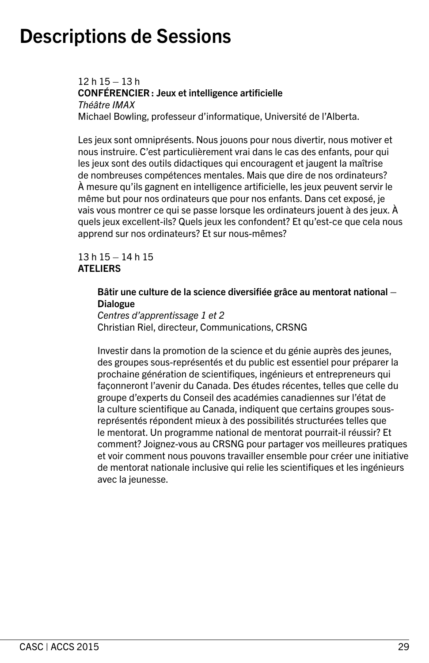12 h 15 – 13 h CONFÉRENCIER : Jeux et intelligence artificielle *Théâtre IMAX* Michael Bowling, professeur d'informatique, Université de l'Alberta.

Les jeux sont omniprésents. Nous jouons pour nous divertir, nous motiver et nous instruire. C'est particulièrement vrai dans le cas des enfants, pour qui les jeux sont des outils didactiques qui encouragent et jaugent la maîtrise de nombreuses compétences mentales. Mais que dire de nos ordinateurs? À mesure qu'ils gagnent en intelligence artificielle, les jeux peuvent servir le même but pour nos ordinateurs que pour nos enfants. Dans cet exposé, je vais vous montrer ce qui se passe lorsque les ordinateurs jouent à des jeux. À quels jeux excellent-ils? Quels jeux les confondent? Et qu'est-ce que cela nous apprend sur nos ordinateurs? Et sur nous-mêmes?

#### 13 h 15 – 14 h 15 **ATELIERS**

#### Bâtir une culture de la science diversifiée grâce au mentorat national – Dialogue

*Centres d'apprentissage 1 et 2* Christian Riel, directeur, Communications, CRSNG

Investir dans la promotion de la science et du génie auprès des jeunes, des groupes sous-représentés et du public est essentiel pour préparer la prochaine génération de scientifiques, ingénieurs et entrepreneurs qui façonneront l'avenir du Canada. Des études récentes, telles que celle du groupe d'experts du Conseil des académies canadiennes sur l'état de la culture scientifique au Canada, indiquent que certains groupes sousreprésentés répondent mieux à des possibilités structurées telles que le mentorat. Un programme national de mentorat pourrait-il réussir? Et comment? Joignez-vous au CRSNG pour partager vos meilleures pratiques et voir comment nous pouvons travailler ensemble pour créer une initiative de mentorat nationale inclusive qui relie les scientifiques et les ingénieurs avec la jeunesse.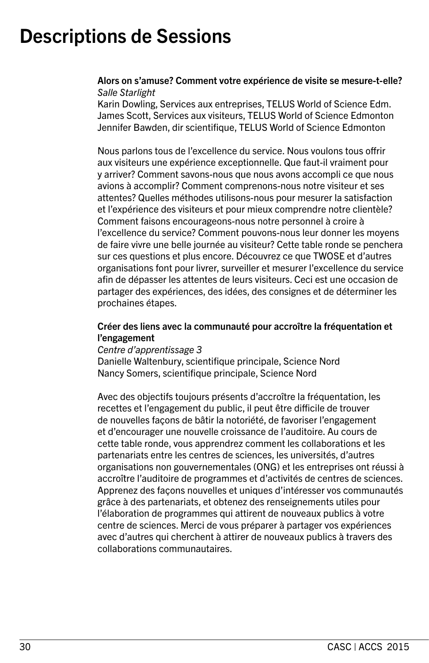#### Alors on s'amuse? Comment votre expérience de visite se mesure-t-elle? *Salle Starlight*

Karin Dowling, Services aux entreprises, TELUS World of Science Edm. James Scott, Services aux visiteurs, TELUS World of Science Edmonton Jennifer Bawden, dir scientifique, TELUS World of Science Edmonton

Nous parlons tous de l'excellence du service. Nous voulons tous offrir aux visiteurs une expérience exceptionnelle. Que faut-il vraiment pour y arriver? Comment savons-nous que nous avons accompli ce que nous avions à accomplir? Comment comprenons-nous notre visiteur et ses attentes? Quelles méthodes utilisons-nous pour mesurer la satisfaction et l'expérience des visiteurs et pour mieux comprendre notre clientèle? Comment faisons encourageons-nous notre personnel à croire à l'excellence du service? Comment pouvons-nous leur donner les moyens de faire vivre une belle journée au visiteur? Cette table ronde se penchera sur ces questions et plus encore. Découvrez ce que TWOSE et d'autres organisations font pour livrer, surveiller et mesurer l'excellence du service afin de dépasser les attentes de leurs visiteurs. Ceci est une occasion de partager des expériences, des idées, des consignes et de déterminer les prochaines étapes.

#### Créer des liens avec la communauté pour accroître la fréquentation et l'engagement

#### *Centre d'apprentissage 3*

Danielle Waltenbury, scientifique principale, Science Nord Nancy Somers, scientifique principale, Science Nord

Avec des objectifs toujours présents d'accroître la fréquentation, les recettes et l'engagement du public, il peut être difficile de trouver de nouvelles façons de bâtir la notoriété, de favoriser l'engagement et d'encourager une nouvelle croissance de l'auditoire. Au cours de cette table ronde, vous apprendrez comment les collaborations et les partenariats entre les centres de sciences, les universités, d'autres organisations non gouvernementales (ONG) et les entreprises ont réussi à accroître l'auditoire de programmes et d'activités de centres de sciences. Apprenez des façons nouvelles et uniques d'intéresser vos communautés grâce à des partenariats, et obtenez des renseignements utiles pour l'élaboration de programmes qui attirent de nouveaux publics à votre centre de sciences. Merci de vous préparer à partager vos expériences avec d'autres qui cherchent à attirer de nouveaux publics à travers des collaborations communautaires.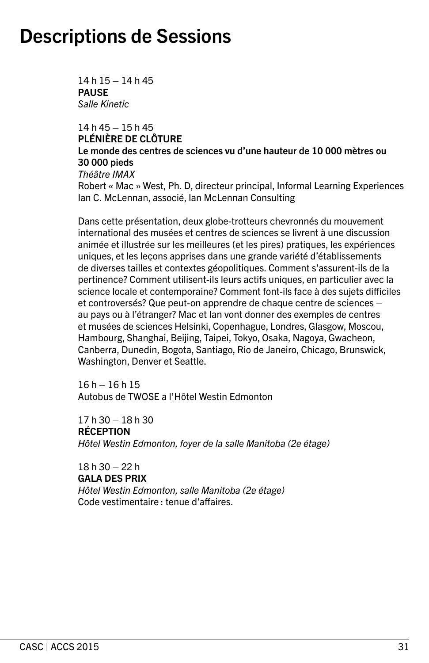14 h 15 – 14 h 45 **PAUSE** *Salle Kinetic*

14 h 45 – 15 h 45 PLÉNIÈRE DE CLÔTURE Le monde des centres de sciences vu d'une hauteur de 10 000 mètres ou 30 000 pieds *Théâtre IMAX* Robert « Mac » West, Ph. D, directeur principal, Informal Learning Experiences Ian C. McLennan, associé, Ian McLennan Consulting

Dans cette présentation, deux globe-trotteurs chevronnés du mouvement international des musées et centres de sciences se livrent à une discussion animée et illustrée sur les meilleures (et les pires) pratiques, les expériences uniques, et les leçons apprises dans une grande variété d'établissements de diverses tailles et contextes géopolitiques. Comment s'assurent-ils de la pertinence? Comment utilisent-ils leurs actifs uniques, en particulier avec la science locale et contemporaine? Comment font-ils face à des sujets difficiles et controversés? Que peut-on apprendre de chaque centre de sciences – au pays ou à l'étranger? Mac et Ian vont donner des exemples de centres et musées de sciences Helsinki, Copenhague, Londres, Glasgow, Moscou, Hambourg, Shanghai, Beijing, Taipei, Tokyo, Osaka, Nagoya, Gwacheon, Canberra, Dunedin, Bogota, Santiago, Rio de Janeiro, Chicago, Brunswick, Washington, Denver et Seattle.

16 h – 16 h 15 Autobus de TWOSE a l'Hôtel Westin Edmonton

 $17h30 - 18h30$ RÉCEPTION *Hôtel Westin Edmonton, foyer de la salle Manitoba (2e étage)*

 $18h30 - 22h$ GALA DES PRIX *Hôtel Westin Edmonton, salle Manitoba (2e étage)* Code vestimentaire : tenue d'affaires.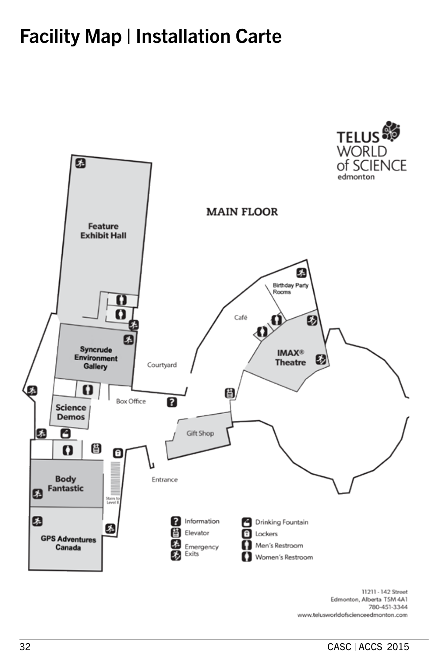### Facility Map | Installation Carte



11211 - 142 Street Edmonton, Alberta T5M 4A1 780-451-3344 www.telusworldofscienceedmonton.com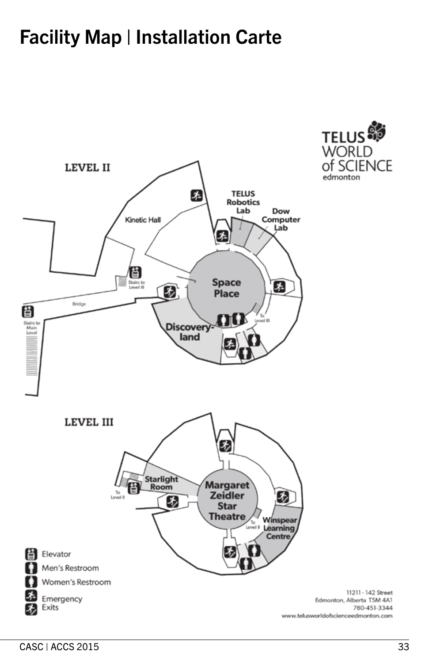### Facility Map | Installation Carte





11211 - 142 Street

780-451-3344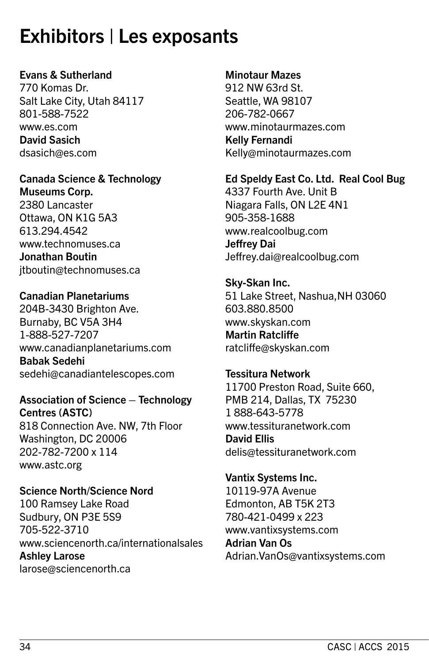### Exhibitors | Les exposants

### Evans & Sutherland

770 Komas Dr. Salt Lake City, Utah 84117 801-588-7522 www.es.com David Sasich dsasich@es.com

### Canada Science & Technology Museums Corp.

2380 Lancaster Ottawa, ON K1G 5A3 613.294.4542 www.technomuses.ca Jonathan Boutin jtboutin@technomuses.ca

### Canadian Planetariums

204B-3430 Brighton Ave. Burnaby, BC V5A 3H4 1-888-527-7207 www.canadianplanetariums.com Babak Sedehi sedehi@canadiantelescopes.com

### Association of Science – Technology Centres (ASTC) 818 Connection Ave. NW, 7th Floor Washington, DC 20006 202-782-7200 x 114

www.astc.org

Science North/Science Nord 100 Ramsey Lake Road Sudbury, ON P3E 5S9 705-522-3710 www.sciencenorth.ca/internationalsales Ashley Larose larose@sciencenorth.ca

### Minotaur Mazes

912 NW 63rd St. Seattle, WA 98107 206-782-0667 www.minotaurmazes.com Kelly Fernandi Kelly@minotaurmazes.com

#### Ed Speldy East Co. Ltd. Real Cool Bug 4337 Fourth Ave. Unit B

Niagara Falls, ON L2E 4N1 905-358-1688 www.realcoolbug.com Jeffrey Dai Jeffrey.dai@realcoolbug.com

Sky-Skan Inc. 51 Lake Street, Nashua,NH 03060 603.880.8500 www.skyskan.com Martin Ratcliffe ratcliffe@skyskan.com

### Tessitura Network 11700 Preston Road, Suite 660, PMB 214, Dallas, TX 75230 1 888-643-5778 www.tessituranetwork.com David Ellis delis@tessituranetwork.com

Vantix Systems Inc. 10119-97A Avenue Edmonton, AB T5K 2T3 780-421-0499 x 223 www.vantixsystems.com Adrian Van Os Adrian.VanOs@vantixsystems.com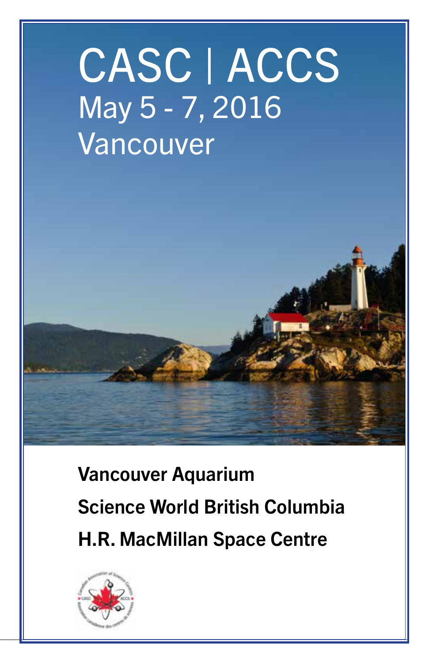# CASC | ACCS May 5 - 7, 2016 Vancouver

Vancouver Aquarium Science World British Columbia H.R. MacMillan Space Centre